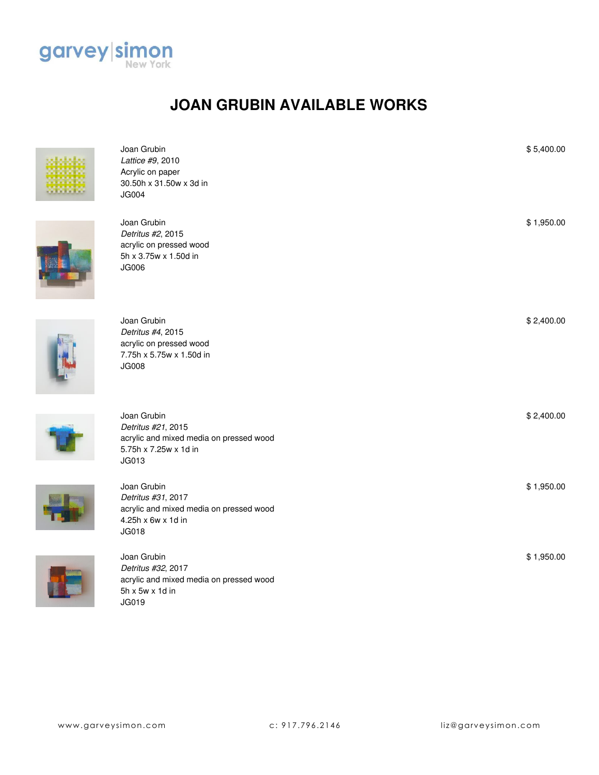

## **JOAN GRUBIN AVAILABLE WORKS**



| Joan Grubin<br>Lattice #9, 2010<br>Acrylic on paper<br>30.50h x 31.50w x 3d in<br><b>JG004</b>                 | \$5,400.00 |
|----------------------------------------------------------------------------------------------------------------|------------|
| Joan Grubin<br>Detritus #2, 2015<br>acrylic on pressed wood<br>5h x 3.75w x 1.50d in<br><b>JG006</b>           | \$1,950.00 |
| Joan Grubin<br>Detritus #4, 2015<br>acrylic on pressed wood<br>7.75h x 5.75w x 1.50d in<br><b>JG008</b>        | \$2,400.00 |
| Joan Grubin<br>Detritus #21, 2015<br>acrylic and mixed media on pressed wood<br>5.75h x 7.25w x 1d in<br>JG013 | \$2,400.00 |
| Joan Grubin<br>Detritus #31, 2017<br>acrylic and mixed media on pressed wood<br>4.25h x 6w x 1d in<br>JG018    | \$1,950.00 |
| Joan Grubin<br>Detritus #32, 2017<br>acrylic and mixed media on pressed wood<br>5h x 5w x 1d in                | \$1,950.00 |

JG019